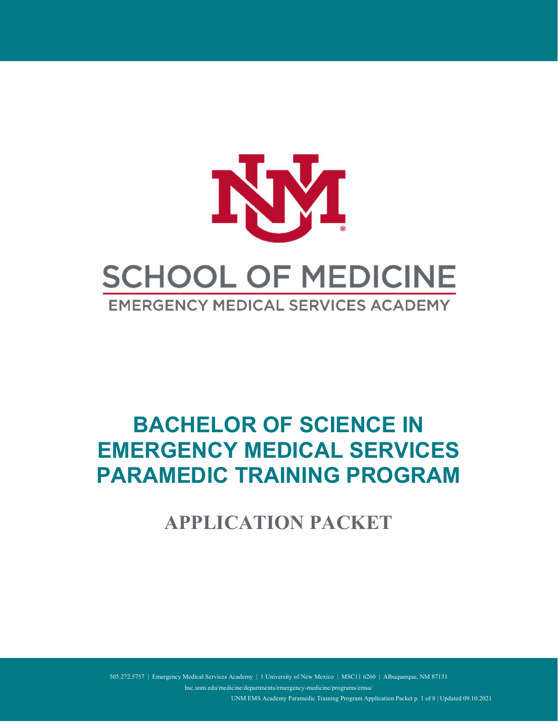

# BACHELOR OF SCIENCE IN EMERGENCY MEDICAL SERVICES PARAMEDIC TRAINING PROGRAM

APPLICATION PACKET

505.272.5757 | Emergency Medical Services Academy | 1 University of New Mexico | MSC11 6260 | Albuquerque, NM 87131

hsc.unm.edu/medicine/departments/emergency-medicine/programs/emsa/

UNM EMS Academy Paramedic Training Program Application Packet p. 1 of 8 | Updated 09.10.2021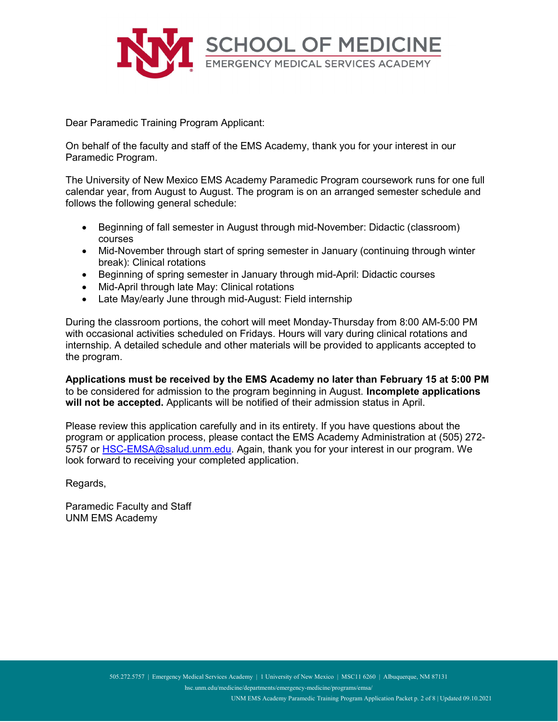

Dear Paramedic Training Program Applicant:

On behalf of the faculty and staff of the EMS Academy, thank you for your interest in our Paramedic Program.

The University of New Mexico EMS Academy Paramedic Program coursework runs for one full calendar year, from August to August. The program is on an arranged semester schedule and follows the following general schedule:

- Beginning of fall semester in August through mid-November: Didactic (classroom) courses
- Mid-November through start of spring semester in January (continuing through winter break): Clinical rotations
- Beginning of spring semester in January through mid-April: Didactic courses
- Mid-April through late May: Clinical rotations
- Late May/early June through mid-August: Field internship

During the classroom portions, the cohort will meet Monday-Thursday from 8:00 AM-5:00 PM with occasional activities scheduled on Fridays. Hours will vary during clinical rotations and internship. A detailed schedule and other materials will be provided to applicants accepted to the program.

Applications must be received by the EMS Academy no later than February 15 at 5:00 PM to be considered for admission to the program beginning in August. Incomplete applications will not be accepted. Applicants will be notified of their admission status in April.

Please review this application carefully and in its entirety. If you have questions about the program or application process, please contact the EMS Academy Administration at (505) 272- 5757 or HSC-EMSA@salud.unm.edu. Again, thank you for your interest in our program. We look forward to receiving your completed application.

Regards,

Paramedic Faculty and Staff UNM EMS Academy

hsc.unm.edu/medicine/departments/emergency-medicine/programs/emsa/

UNM EMS Academy Paramedic Training Program Application Packet p. 2 of 8 | Updated 09.10.2021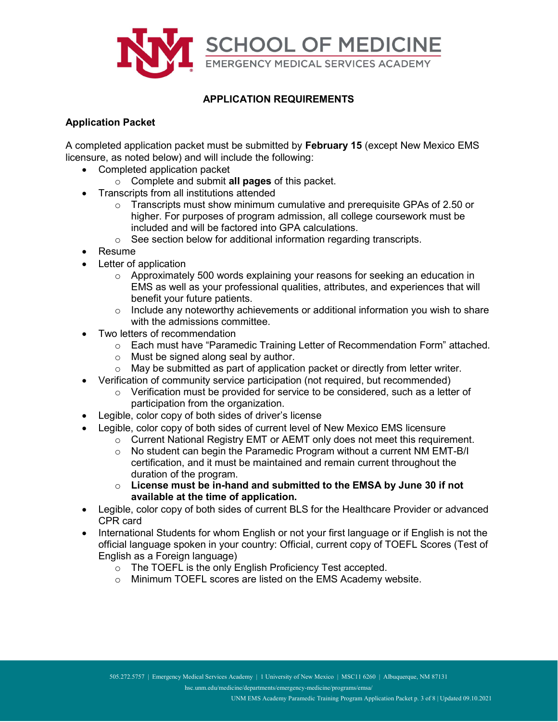

## APPLICATION REQUIREMENTS

## Application Packet

A completed application packet must be submitted by February 15 (except New Mexico EMS licensure, as noted below) and will include the following:

- Completed application packet
	- $\circ$  Complete and submit all pages of this packet.
- Transcripts from all institutions attended
	- $\circ$  Transcripts must show minimum cumulative and prerequisite GPAs of 2.50 or higher. For purposes of program admission, all college coursework must be included and will be factored into GPA calculations.
	- o See section below for additional information regarding transcripts.
- Resume
- Letter of application
	- o Approximately 500 words explaining your reasons for seeking an education in EMS as well as your professional qualities, attributes, and experiences that will benefit your future patients.
	- $\circ$  Include any noteworthy achievements or additional information you wish to share with the admissions committee.
- Two letters of recommendation
	- o Each must have "Paramedic Training Letter of Recommendation Form" attached.
	- o Must be signed along seal by author.
	- $\circ$  May be submitted as part of application packet or directly from letter writer.
- Verification of community service participation (not required, but recommended)
	- o Verification must be provided for service to be considered, such as a letter of participation from the organization.
- Legible, color copy of both sides of driver's license
- Legible, color copy of both sides of current level of New Mexico EMS licensure
	- $\circ$  Current National Registry EMT or AEMT only does not meet this requirement.
	- o No student can begin the Paramedic Program without a current NM EMT-B/I certification, and it must be maintained and remain current throughout the duration of the program.
	- $\circ$  License must be in-hand and submitted to the EMSA by June 30 if not available at the time of application.
- Legible, color copy of both sides of current BLS for the Healthcare Provider or advanced CPR card
- International Students for whom English or not your first language or if English is not the official language spoken in your country: Official, current copy of TOEFL Scores (Test of English as a Foreign language)
	- o The TOEFL is the only English Proficiency Test accepted.
	- o Minimum TOEFL scores are listed on the EMS Academy website.

hsc.unm.edu/medicine/departments/emergency-medicine/programs/emsa/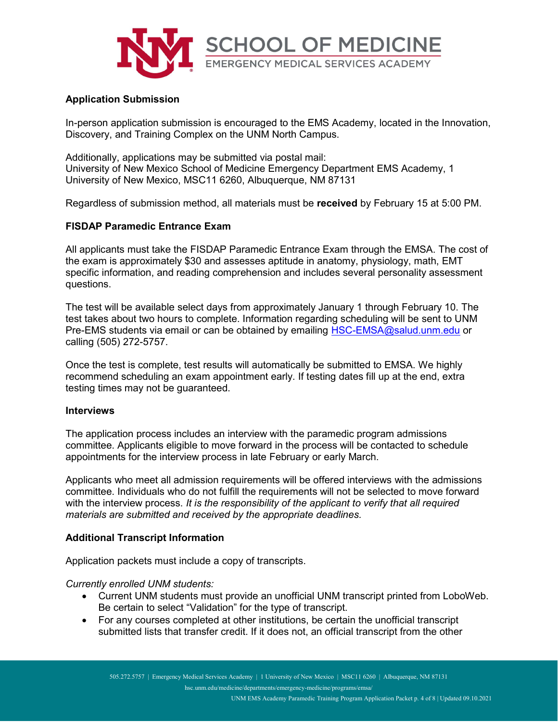

### Application Submission

In-person application submission is encouraged to the EMS Academy, located in the Innovation, Discovery, and Training Complex on the UNM North Campus.

Additionally, applications may be submitted via postal mail: University of New Mexico School of Medicine Emergency Department EMS Academy, 1 University of New Mexico, MSC11 6260, Albuquerque, NM 87131

Regardless of submission method, all materials must be received by February 15 at 5:00 PM.

### FISDAP Paramedic Entrance Exam

All applicants must take the FISDAP Paramedic Entrance Exam through the EMSA. The cost of the exam is approximately \$30 and assesses aptitude in anatomy, physiology, math, EMT specific information, and reading comprehension and includes several personality assessment questions.

The test will be available select days from approximately January 1 through February 10. The test takes about two hours to complete. Information regarding scheduling will be sent to UNM Pre-EMS students via email or can be obtained by emailing HSC-EMSA@salud.unm.edu or calling (505) 272-5757.

Once the test is complete, test results will automatically be submitted to EMSA. We highly recommend scheduling an exam appointment early. If testing dates fill up at the end, extra testing times may not be guaranteed.

#### Interviews

The application process includes an interview with the paramedic program admissions committee. Applicants eligible to move forward in the process will be contacted to schedule appointments for the interview process in late February or early March.

Applicants who meet all admission requirements will be offered interviews with the admissions committee. Individuals who do not fulfill the requirements will not be selected to move forward with the interview process. It is the responsibility of the applicant to verify that all required materials are submitted and received by the appropriate deadlines.

#### Additional Transcript Information

Application packets must include a copy of transcripts.

#### Currently enrolled UNM students:

- Current UNM students must provide an unofficial UNM transcript printed from LoboWeb. Be certain to select "Validation" for the type of transcript.
- For any courses completed at other institutions, be certain the unofficial transcript submitted lists that transfer credit. If it does not, an official transcript from the other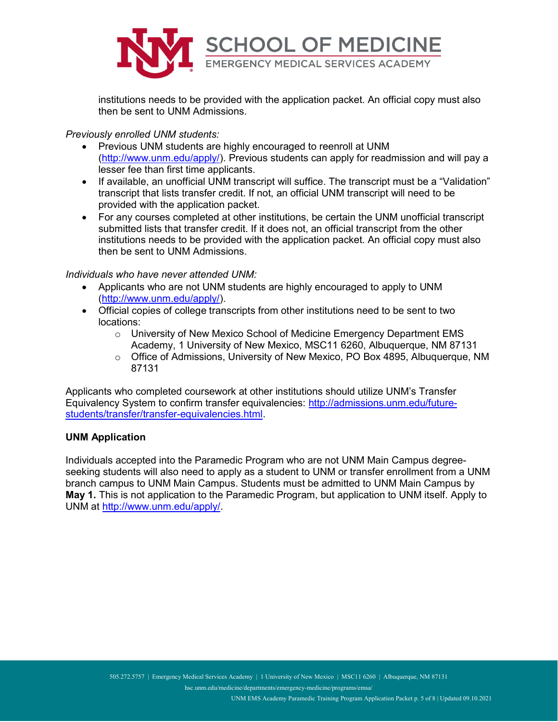

institutions needs to be provided with the application packet. An official copy must also then be sent to UNM Admissions.

Previously enrolled UNM students:

- Previous UNM students are highly encouraged to reenroll at UNM (http://www.unm.edu/apply/). Previous students can apply for readmission and will pay a lesser fee than first time applicants.
- If available, an unofficial UNM transcript will suffice. The transcript must be a "Validation" transcript that lists transfer credit. If not, an official UNM transcript will need to be provided with the application packet.
- For any courses completed at other institutions, be certain the UNM unofficial transcript submitted lists that transfer credit. If it does not, an official transcript from the other institutions needs to be provided with the application packet. An official copy must also then be sent to UNM Admissions.

#### Individuals who have never attended UNM:

- Applicants who are not UNM students are highly encouraged to apply to UNM (http://www.unm.edu/apply/).
- Official copies of college transcripts from other institutions need to be sent to two locations:
	- $\circ$  University of New Mexico School of Medicine Emergency Department EMS Academy, 1 University of New Mexico, MSC11 6260, Albuquerque, NM 87131
	- o Office of Admissions, University of New Mexico, PO Box 4895, Albuquerque, NM 87131

Applicants who completed coursework at other institutions should utilize UNM's Transfer Equivalency System to confirm transfer equivalencies: http://admissions.unm.edu/futurestudents/transfer/transfer-equivalencies.html.

#### UNM Application

Individuals accepted into the Paramedic Program who are not UNM Main Campus degreeseeking students will also need to apply as a student to UNM or transfer enrollment from a UNM branch campus to UNM Main Campus. Students must be admitted to UNM Main Campus by May 1. This is not application to the Paramedic Program, but application to UNM itself. Apply to UNM at http://www.unm.edu/apply/.

hsc.unm.edu/medicine/departments/emergency-medicine/programs/emsa/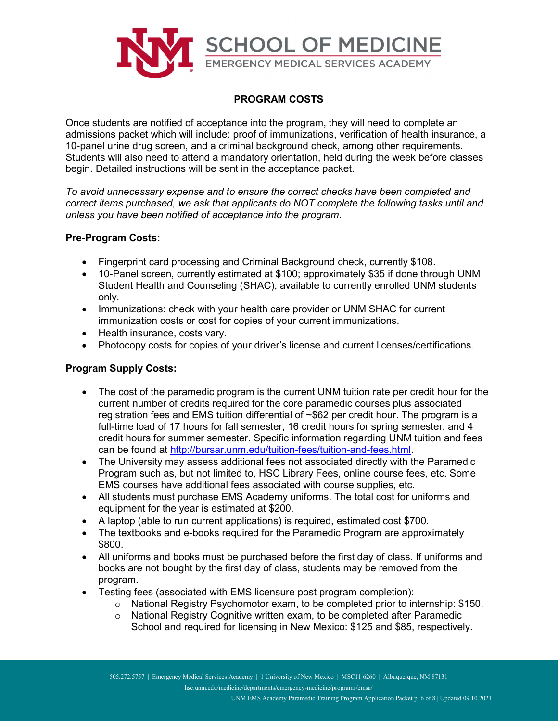

## PROGRAM COSTS

Once students are notified of acceptance into the program, they will need to complete an admissions packet which will include: proof of immunizations, verification of health insurance, a 10-panel urine drug screen, and a criminal background check, among other requirements. Students will also need to attend a mandatory orientation, held during the week before classes begin. Detailed instructions will be sent in the acceptance packet.

To avoid unnecessary expense and to ensure the correct checks have been completed and correct items purchased, we ask that applicants do NOT complete the following tasks until and unless you have been notified of acceptance into the program.

#### Pre-Program Costs:

- Fingerprint card processing and Criminal Background check, currently \$108.
- 10-Panel screen, currently estimated at \$100; approximately \$35 if done through UNM Student Health and Counseling (SHAC), available to currently enrolled UNM students only.
- Immunizations: check with your health care provider or UNM SHAC for current immunization costs or cost for copies of your current immunizations.
- Health insurance, costs vary.
- Photocopy costs for copies of your driver's license and current licenses/certifications.

## Program Supply Costs:

- The cost of the paramedic program is the current UNM tuition rate per credit hour for the current number of credits required for the core paramedic courses plus associated registration fees and EMS tuition differential of ~\$62 per credit hour. The program is a full-time load of 17 hours for fall semester, 16 credit hours for spring semester, and 4 credit hours for summer semester. Specific information regarding UNM tuition and fees can be found at http://bursar.unm.edu/tuition-fees/tuition-and-fees.html.
- The University may assess additional fees not associated directly with the Paramedic Program such as, but not limited to, HSC Library Fees, online course fees, etc. Some EMS courses have additional fees associated with course supplies, etc.
- All students must purchase EMS Academy uniforms. The total cost for uniforms and equipment for the year is estimated at \$200.
- A laptop (able to run current applications) is required, estimated cost \$700.
- The textbooks and e-books required for the Paramedic Program are approximately \$800.
- All uniforms and books must be purchased before the first day of class. If uniforms and books are not bought by the first day of class, students may be removed from the program.
- Testing fees (associated with EMS licensure post program completion):
	- $\circ$  National Registry Psychomotor exam, to be completed prior to internship: \$150.
	- $\circ$  National Registry Cognitive written exam, to be completed after Paramedic School and required for licensing in New Mexico: \$125 and \$85, respectively.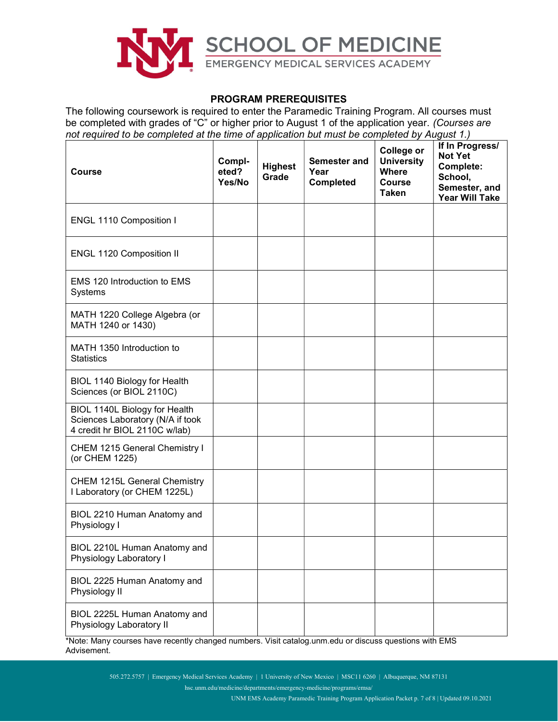

#### PROGRAM PREREQUISITES

The following coursework is required to enter the Paramedic Training Program. All courses must be completed with grades of "C" or higher prior to August 1 of the application year. (Courses are not required to be completed at the time of application but must be completed by August 1.)

| <b>Course</b>                                                                                      | Compl-<br>eted?<br>Yes/No | <b>Highest</b><br>Grade | Semester and<br>Year<br><b>Completed</b> | College or<br><b>University</b><br><b>Where</b><br><b>Course</b><br><b>Taken</b> | If In Progress/<br><b>Not Yet</b><br>Complete:<br>School,<br>Semester, and<br><b>Year Will Take</b> |
|----------------------------------------------------------------------------------------------------|---------------------------|-------------------------|------------------------------------------|----------------------------------------------------------------------------------|-----------------------------------------------------------------------------------------------------|
| ENGL 1110 Composition I                                                                            |                           |                         |                                          |                                                                                  |                                                                                                     |
| ENGL 1120 Composition II                                                                           |                           |                         |                                          |                                                                                  |                                                                                                     |
| EMS 120 Introduction to EMS<br>Systems                                                             |                           |                         |                                          |                                                                                  |                                                                                                     |
| MATH 1220 College Algebra (or<br>MATH 1240 or 1430)                                                |                           |                         |                                          |                                                                                  |                                                                                                     |
| MATH 1350 Introduction to<br><b>Statistics</b>                                                     |                           |                         |                                          |                                                                                  |                                                                                                     |
| BIOL 1140 Biology for Health<br>Sciences (or BIOL 2110C)                                           |                           |                         |                                          |                                                                                  |                                                                                                     |
| BIOL 1140L Biology for Health<br>Sciences Laboratory (N/A if took<br>4 credit hr BIOL 2110C w/lab) |                           |                         |                                          |                                                                                  |                                                                                                     |
| CHEM 1215 General Chemistry I<br>(or CHEM 1225)                                                    |                           |                         |                                          |                                                                                  |                                                                                                     |
| <b>CHEM 1215L General Chemistry</b><br>I Laboratory (or CHEM 1225L)                                |                           |                         |                                          |                                                                                  |                                                                                                     |
| BIOL 2210 Human Anatomy and<br>Physiology I                                                        |                           |                         |                                          |                                                                                  |                                                                                                     |
| BIOL 2210L Human Anatomy and<br>Physiology Laboratory I                                            |                           |                         |                                          |                                                                                  |                                                                                                     |
| BIOL 2225 Human Anatomy and<br>Physiology II                                                       |                           |                         |                                          |                                                                                  |                                                                                                     |
| BIOL 2225L Human Anatomy and<br>Physiology Laboratory II                                           |                           |                         |                                          |                                                                                  |                                                                                                     |

\*Note: Many courses have recently changed numbers. Visit catalog.unm.edu or discuss questions with EMS Advisement.

505.272.5757 | Emergency Medical Services Academy | 1 University of New Mexico | MSC11 6260 | Albuquerque, NM 87131

hsc.unm.edu/medicine/departments/emergency-medicine/programs/emsa/